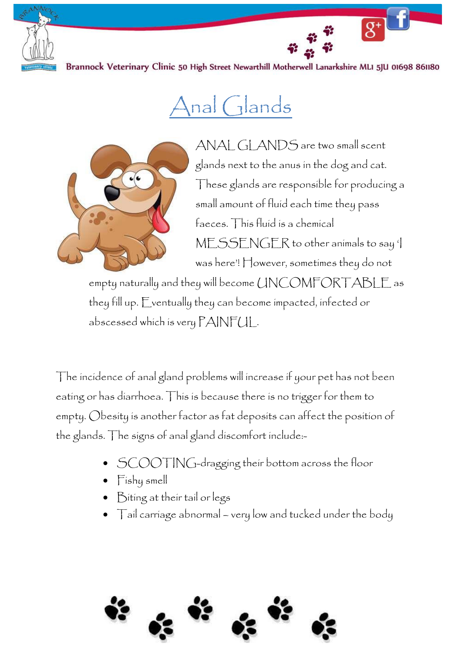

Brannock Veterinary Clinic 50 High Street Newarthill Motherwell Lanarkshire MLI 5JU 01698 861180

## Anal Glands



ANAL GLANDS are two small scent glands next to the anus in the dog and cat. These glands are responsible for producing a small amount of fluid each time they pass faeces. This fluid is a chemical MESSENGER to other animals to say 'I was here'! However, sometimes they do not

empty naturally and they will become UNCOMFORTABLE as they fill up. Eventually they can become impacted, infected or abscessed which is very PAINFUL.

The incidence of anal gland problems will increase if your pet has not been eating or has diarrhoea. This is because there is no trigger for them to empty. Obesity is another factor as fat deposits can affect the position of the glands. The signs of anal gland discomfort include:-

- SCOOTING-dragging their bottom across the floor
- Fishy smell
- Biting at their tail or legs
- Tail carriage abnormal very low and tucked under the body